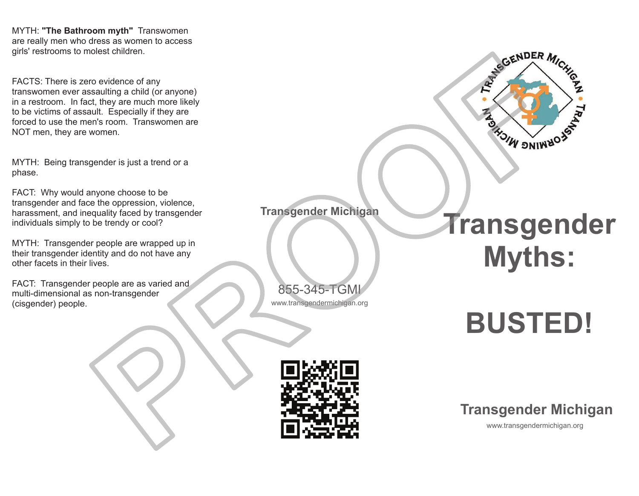MYTH: **"The Bathroom myth"** Transwomen are really men who dress as women to access girls' restrooms to molest children.

FACTS: There is zero evidence of any transwomen ever assaulting <sup>a</sup> child (or anyone) in <sup>a</sup> restroom. In fact, they are much more likely to be victims of assault. Especially if they are forced to use the men's room. Transwomen are NOT men, they are women.

MYTH: Being transgender is just a trend or a phase.

FACT: Why would anyone choose to be transgender and face the oppression, violence, harassment, and inequality faced by transgender individuals simply to be trendy or cool?

MYTH: Transgender people are wrapped up in their transgender identity and do not have any other facets in their lives.

FACT: Transgender people are as varied and multi-dimensional as non-transgender (cisgender) people.

www.transgendermichigan.org 855-345-TGMI

**Transgender Michigan**

## **Transgender Myths:**

## **BUSTED!**



## **Transgender Michigan**

www.transgendermichigan.org